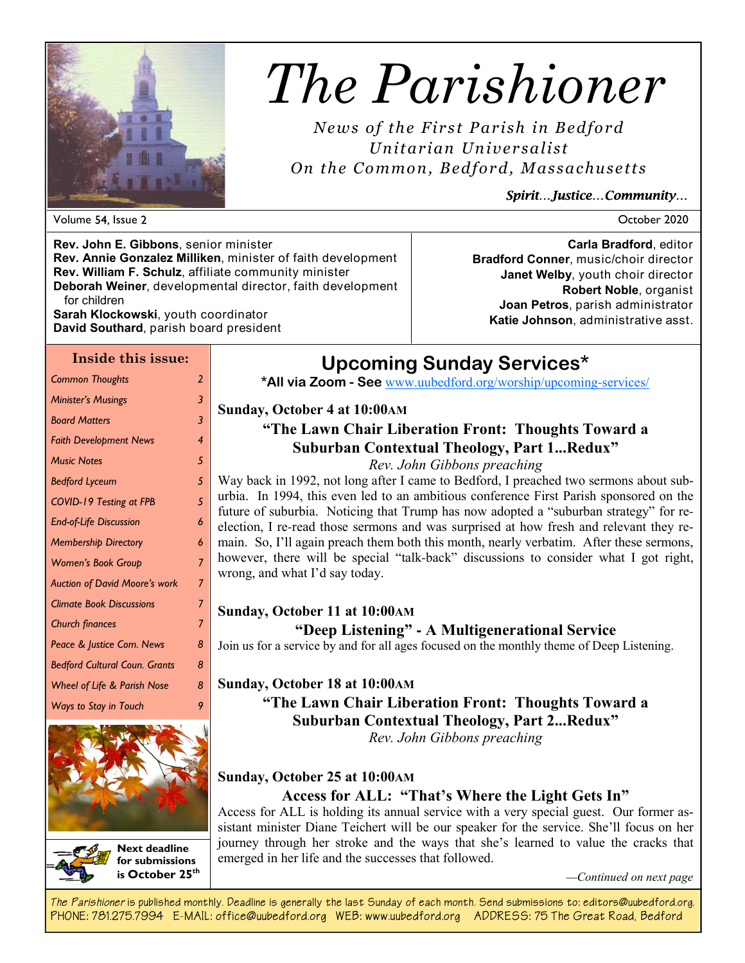

# *The Parishioner*

*News of the First Parish in Bedford Unitarian Unive rsalist On the Common, Bedfor d, Massachuse tts* 

*Spirit…Justice…Community…* 

**Bradford Conner**, music/choir director **Janet Welby**, youth choir director

**Joan Petros**, parish administrator **Katie Johnson**, administrative asst.

Volume Issue October 2020

**Carla Bradford**, editor

**Robert Noble**, organist

**Rev. John E. Gibbons**, senior minister **Rev. Annie Gonzalez Milliken**, minister of faith development **Rev. William F. Schulz**, affiliate community minister **Deborah Weiner**, developmental director, faith development for children **Sarah Klockowski**, youth coordinator

**David Southard**, parish board president

#### **Inside this issue:**

| <b>Common Thoughts</b>                 | $\overline{2}$ |  |  |
|----------------------------------------|----------------|--|--|
| <b>Minister's Musings</b>              | 3              |  |  |
| <b>Board Matters</b>                   | 3              |  |  |
| <b>Faith Development News</b>          | 4              |  |  |
| <b>Music Notes</b>                     | 5              |  |  |
| <b>Bedford Lyceum</b>                  | 5              |  |  |
| <b>COVID-19 Testing at FPB</b>         | 5              |  |  |
| <b>End-of-Life Discussion</b>          | 6              |  |  |
| <b>Membership Directory</b>            | 6              |  |  |
| <b>Women's Book Group</b>              |                |  |  |
| <b>Auction of David Moore's work</b>   |                |  |  |
| <b>Climate Book Discussions</b>        |                |  |  |
| <b>Church finances</b>                 |                |  |  |
| Peace & Justice Com. News              |                |  |  |
| <b>Bedford Cultural Coun. Grants</b>   |                |  |  |
| <b>Wheel of Life &amp; Parish Nose</b> | 8              |  |  |
| Wavs to Stav in Touch                  | 9              |  |  |





**Next deadline for submissions is October 25th** **Sunday, October 4 at 10:00AM**

## **"The Lawn Chair Liberation Front: Thoughts Toward a Suburban Contextual Theology, Part 1...Redux"**

## *Rev. John Gibbons preaching*

Way back in 1992, not long after I came to Bedford, I preached two sermons about suburbia. In 1994, this even led to an ambitious conference First Parish sponsored on the future of suburbia. Noticing that Trump has now adopted a "suburban strategy" for reelection, I re-read those sermons and was surprised at how fresh and relevant they remain. So, I'll again preach them both this month, nearly verbatim. After these sermons, however, there will be special "talk-back" discussions to consider what I got right, wrong, and what I'd say today.

## **Sunday, October 11 at 10:00AM**

## **"Deep Listening" - A Multigenerational Service**

Join us for a service by and for all ages focused on the monthly theme of Deep Listening.

## **Sunday, October 18 at 10:00AM**

## **"The Lawn Chair Liberation Front: Thoughts Toward a Suburban Contextual Theology, Part 2...Redux"** *Rev. John Gibbons preaching*

## **Sunday, October 25 at 10:00AM**

## **Access for ALL: "That's Where the Light Gets In"**

Access for ALL is holding its annual service with a very special guest. Our former assistant minister Diane Teichert will be our speaker for the service. She'll focus on her journey through her stroke and the ways that she's learned to value the cracks that emerged in her life and the successes that followed.

*—Continued on next page*

*The Parishioner* **is published monthly. Deadline is generally the last Sunday of each month. Send submissions to: editors@uubedford.org. PHONE: 781.275.7994 E-MAIL: office@uubedford.org WEB: www.uubedford.org ADDRESS: 75 The Great Road, Bedford** 

# **Upcoming Sunday Services\***

**\*All via Zoom - See** www.uubedford.org/worship/upcoming-services/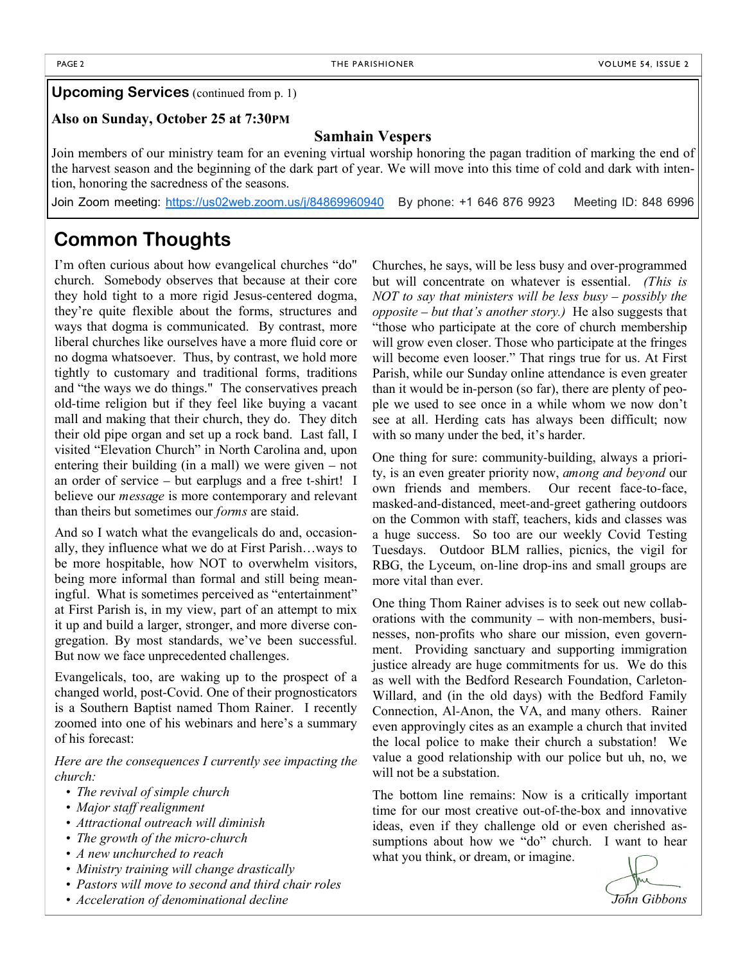#### **Upcoming Services** (continued from p. 1)

#### **Also on Sunday, October 25 at 7:30PM**

#### **Samhain Vespers**

Join members of our ministry team for an evening virtual worship honoring the pagan tradition of marking the end of the harvest season and the beginning of the dark part of year. We will move into this time of cold and dark with intention, honoring the sacredness of the seasons.

Join Zoom meeting: https://us02web.zoom.us/j/84869960940 By phone: +1 646 876 9923 Meeting ID: 848 6996

## **Common Thoughts**

I'm often curious about how evangelical churches "do" church. Somebody observes that because at their core they hold tight to a more rigid Jesus-centered dogma, they're quite flexible about the forms, structures and ways that dogma is communicated. By contrast, more liberal churches like ourselves have a more fluid core or no dogma whatsoever. Thus, by contrast, we hold more tightly to customary and traditional forms, traditions and "the ways we do things." The conservatives preach old-time religion but if they feel like buying a vacant mall and making that their church, they do. They ditch their old pipe organ and set up a rock band. Last fall, I visited "Elevation Church" in North Carolina and, upon entering their building (in a mall) we were given – not an order of service – but earplugs and a free t-shirt! I believe our *message* is more contemporary and relevant than theirs but sometimes our *forms* are staid.

And so I watch what the evangelicals do and, occasionally, they influence what we do at First Parish…ways to be more hospitable, how NOT to overwhelm visitors, being more informal than formal and still being meaningful. What is sometimes perceived as "entertainment" at First Parish is, in my view, part of an attempt to mix it up and build a larger, stronger, and more diverse congregation. By most standards, we've been successful. But now we face unprecedented challenges.

Evangelicals, too, are waking up to the prospect of a changed world, post-Covid. One of their prognosticators is a Southern Baptist named Thom Rainer. I recently zoomed into one of his webinars and here's a summary of his forecast:

*Here are the consequences I currently see impacting the church:*

- *• The revival of simple church*
- *• Major staff realignment*
- *• Attractional outreach will diminish*
- *• The growth of the micro-church*
- *• A new unchurched to reach*
- *• Ministry training will change drastically*
- *• Pastors will move to second and third chair roles*
- *• Acceleration of denominational decline*

Churches, he says, will be less busy and over-programmed but will concentrate on whatever is essential. *(This is NOT to say that ministers will be less busy – possibly the opposite – but that's another story.)* He also suggests that "those who participate at the core of church membership will grow even closer. Those who participate at the fringes will become even looser." That rings true for us. At First Parish, while our Sunday online attendance is even greater than it would be in-person (so far), there are plenty of people we used to see once in a while whom we now don't see at all. Herding cats has always been difficult; now with so many under the bed, it's harder.

One thing for sure: community-building, always a priority, is an even greater priority now, *among and beyond* our own friends and members. Our recent face-to-face, masked-and-distanced, meet-and-greet gathering outdoors on the Common with staff, teachers, kids and classes was a huge success. So too are our weekly Covid Testing Tuesdays. Outdoor BLM rallies, picnics, the vigil for RBG, the Lyceum, on-line drop-ins and small groups are more vital than ever.

One thing Thom Rainer advises is to seek out new collaborations with the community – with non-members, businesses, non-profits who share our mission, even government. Providing sanctuary and supporting immigration justice already are huge commitments for us. We do this as well with the Bedford Research Foundation, Carleton-Willard, and (in the old days) with the Bedford Family Connection, Al-Anon, the VA, and many others. Rainer even approvingly cites as an example a church that invited the local police to make their church a substation! We value a good relationship with our police but uh, no, we will not be a substation.

The bottom line remains: Now is a critically important time for our most creative out-of-the-box and innovative ideas, even if they challenge old or even cherished assumptions about how we "do" church. I want to hear what you think, or dream, or imagine.

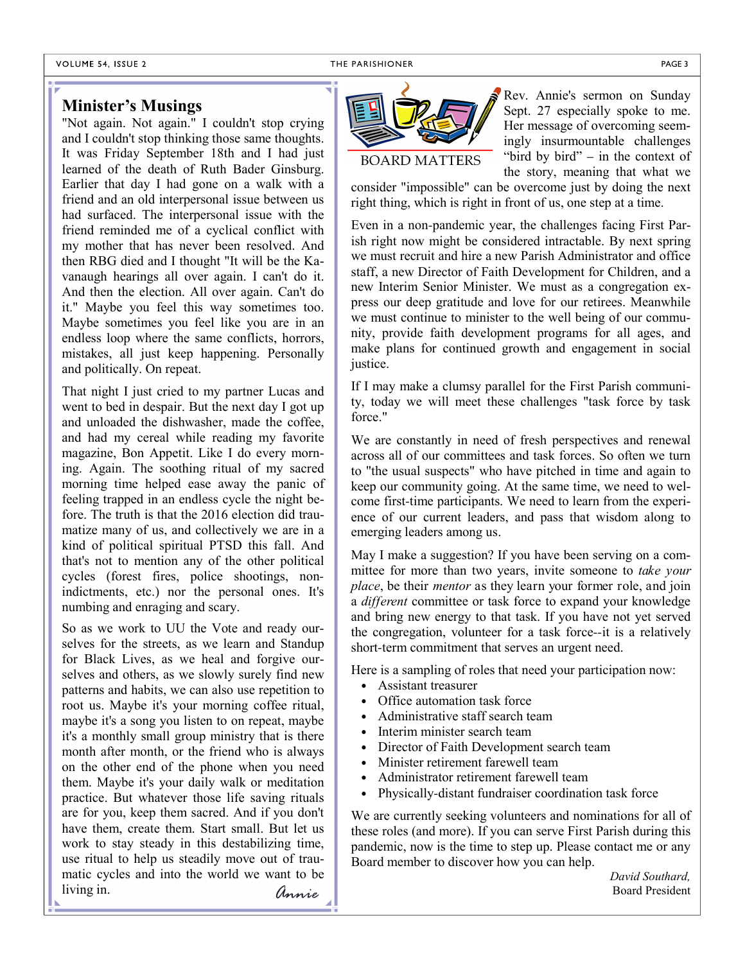#### VOLUME 54, ISSUE 2

## **Minister's Musings**

"Not again. Not again." I couldn't stop crying and I couldn't stop thinking those same thoughts. It was Friday September 18th and I had just learned of the death of Ruth Bader Ginsburg. Earlier that day I had gone on a walk with a friend and an old interpersonal issue between us had surfaced. The interpersonal issue with the friend reminded me of a cyclical conflict with my mother that has never been resolved. And then RBG died and I thought "It will be the Kavanaugh hearings all over again. I can't do it. And then the election. All over again. Can't do it." Maybe you feel this way sometimes too. Maybe sometimes you feel like you are in an endless loop where the same conflicts, horrors, mistakes, all just keep happening. Personally and politically. On repeat.

That night I just cried to my partner Lucas and went to bed in despair. But the next day I got up and unloaded the dishwasher, made the coffee, and had my cereal while reading my favorite magazine, Bon Appetit. Like I do every morning. Again. The soothing ritual of my sacred morning time helped ease away the panic of feeling trapped in an endless cycle the night before. The truth is that the 2016 election did traumatize many of us, and collectively we are in a kind of political spiritual PTSD this fall. And that's not to mention any of the other political cycles (forest fires, police shootings, nonindictments, etc.) nor the personal ones. It's numbing and enraging and scary.

So as we work to UU the Vote and ready ourselves for the streets, as we learn and Standup for Black Lives, as we heal and forgive ourselves and others, as we slowly surely find new patterns and habits, we can also use repetition to root us. Maybe it's your morning coffee ritual, maybe it's a song you listen to on repeat, maybe it's a monthly small group ministry that is there month after month, or the friend who is always on the other end of the phone when you need them. Maybe it's your daily walk or meditation practice. But whatever those life saving rituals are for you, keep them sacred. And if you don't have them, create them. Start small. But let us work to stay steady in this destabilizing time, use ritual to help us steadily move out of traumatic cycles and into the world we want to be living in.



Rev. Annie's sermon on Sunday Sept. 27 especially spoke to me. Her message of overcoming seemingly insurmountable challenges "bird by bird" – in the context of the story, meaning that what we

consider "impossible" can be overcome just by doing the next right thing, which is right in front of us, one step at a time.

Even in a non-pandemic year, the challenges facing First Parish right now might be considered intractable. By next spring we must recruit and hire a new Parish Administrator and office staff, a new Director of Faith Development for Children, and a new Interim Senior Minister. We must as a congregation express our deep gratitude and love for our retirees. Meanwhile we must continue to minister to the well being of our community, provide faith development programs for all ages, and make plans for continued growth and engagement in social justice.

If I may make a clumsy parallel for the First Parish community, today we will meet these challenges "task force by task force."

We are constantly in need of fresh perspectives and renewal across all of our committees and task forces. So often we turn to "the usual suspects" who have pitched in time and again to keep our community going. At the same time, we need to welcome first-time participants. We need to learn from the experience of our current leaders, and pass that wisdom along to emerging leaders among us.

May I make a suggestion? If you have been serving on a committee for more than two years, invite someone to *take your place*, be their *mentor* as they learn your former role, and join a *different* committee or task force to expand your knowledge and bring new energy to that task. If you have not yet served the congregation, volunteer for a task force--it is a relatively short-term commitment that serves an urgent need.

Here is a sampling of roles that need your participation now:

- Assistant treasurer
- Office automation task force
- Administrative staff search team
- Interim minister search team
- Director of Faith Development search team
- Minister retirement farewell team
- Administrator retirement farewell team
- Physically-distant fundraiser coordination task force

We are currently seeking volunteers and nominations for all of these roles (and more). If you can serve First Parish during this pandemic, now is the time to step up. Please contact me or any Board member to discover how you can help.

*David Southard, Annie* Board President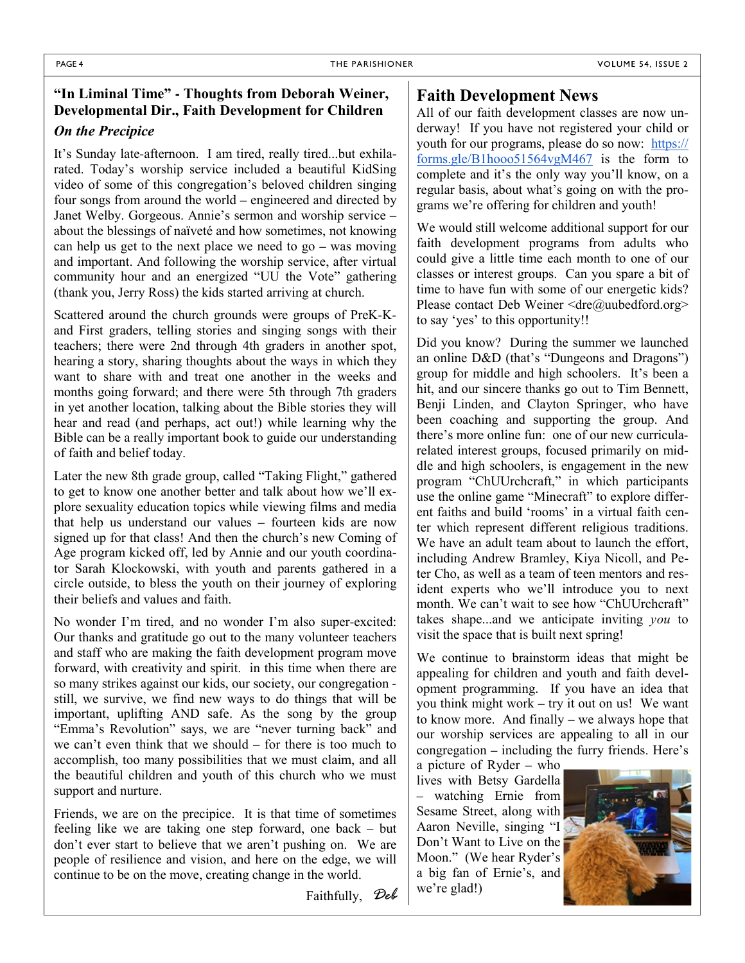## **"In Liminal Time" - Thoughts from Deborah Weiner, Developmental Dir., Faith Development for Children**

#### *On the Precipice*

It's Sunday late-afternoon. I am tired, really tired...but exhilarated. Today's worship service included a beautiful KidSing video of some of this congregation's beloved children singing four songs from around the world – engineered and directed by Janet Welby. Gorgeous. Annie's sermon and worship service – about the blessings of naïveté and how sometimes, not knowing can help us get to the next place we need to go – was moving and important. And following the worship service, after virtual community hour and an energized "UU the Vote" gathering (thank you, Jerry Ross) the kids started arriving at church.

Scattered around the church grounds were groups of PreK-Kand First graders, telling stories and singing songs with their teachers; there were 2nd through 4th graders in another spot, hearing a story, sharing thoughts about the ways in which they want to share with and treat one another in the weeks and months going forward; and there were 5th through 7th graders in yet another location, talking about the Bible stories they will hear and read (and perhaps, act out!) while learning why the Bible can be a really important book to guide our understanding of faith and belief today.

Later the new 8th grade group, called "Taking Flight," gathered to get to know one another better and talk about how we'll explore sexuality education topics while viewing films and media that help us understand our values – fourteen kids are now signed up for that class! And then the church's new Coming of Age program kicked off, led by Annie and our youth coordinator Sarah Klockowski, with youth and parents gathered in a circle outside, to bless the youth on their journey of exploring their beliefs and values and faith.

No wonder I'm tired, and no wonder I'm also super-excited: Our thanks and gratitude go out to the many volunteer teachers and staff who are making the faith development program move forward, with creativity and spirit. in this time when there are so many strikes against our kids, our society, our congregation still, we survive, we find new ways to do things that will be important, uplifting AND safe. As the song by the group "Emma's Revolution" says, we are "never turning back" and we can't even think that we should – for there is too much to accomplish, too many possibilities that we must claim, and all the beautiful children and youth of this church who we must support and nurture.

Friends, we are on the precipice. It is that time of sometimes feeling like we are taking one step forward, one back – but don't ever start to believe that we aren't pushing on. We are people of resilience and vision, and here on the edge, we will continue to be on the move, creating change in the world.

Faithfully, *Deb*

## **Faith Development News**

All of our faith development classes are now underway! If you have not registered your child or youth for our programs, please do so now: https:// forms.gle/B1hooo51564vgM467 is the form to complete and it's the only way you'll know, on a regular basis, about what's going on with the programs we're offering for children and youth!

We would still welcome additional support for our faith development programs from adults who could give a little time each month to one of our classes or interest groups. Can you spare a bit of time to have fun with some of our energetic kids? Please contact Deb Weiner <dre@uubedford.org> to say 'yes' to this opportunity!!

Did you know? During the summer we launched an online D&D (that's "Dungeons and Dragons") group for middle and high schoolers. It's been a hit, and our sincere thanks go out to Tim Bennett, Benji Linden, and Clayton Springer, who have been coaching and supporting the group. And there's more online fun: one of our new curricularelated interest groups, focused primarily on middle and high schoolers, is engagement in the new program "ChUUrchcraft," in which participants use the online game "Minecraft" to explore different faiths and build 'rooms' in a virtual faith center which represent different religious traditions. We have an adult team about to launch the effort, including Andrew Bramley, Kiya Nicoll, and Peter Cho, as well as a team of teen mentors and resident experts who we'll introduce you to next month. We can't wait to see how "ChUUrchcraft" takes shape...and we anticipate inviting *you* to visit the space that is built next spring!

We continue to brainstorm ideas that might be appealing for children and youth and faith development programming. If you have an idea that you think might work – try it out on us! We want to know more. And finally – we always hope that our worship services are appealing to all in our congregation – including the furry friends. Here's

a picture of Ryder – who lives with Betsy Gardella – watching Ernie from Sesame Street, along with Aaron Neville, singing "I Don't Want to Live on the Moon." (We hear Ryder's a big fan of Ernie's, and we're glad!)

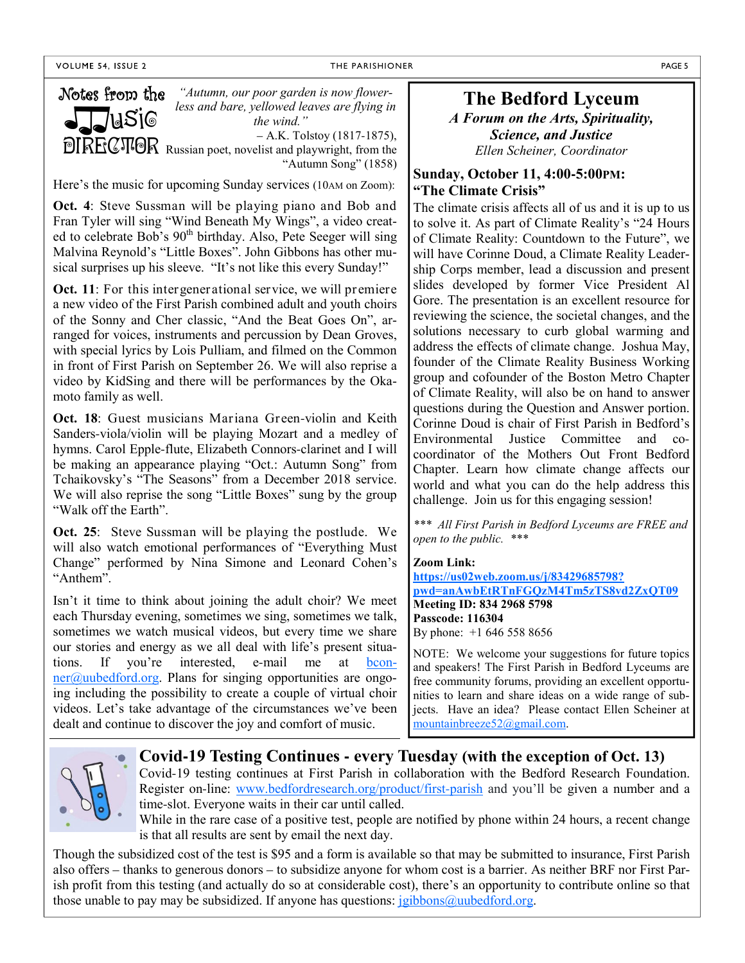THE PARISHIONER **PAGE 5** 



*"Autumn, our poor garden is now flowerless and bare, yellowed leaves are flying in the wind."*

– A.K. Tolstoy (1817-1875), **DIRECTIOR** Russian poet, novelist and playwright, from the

"Autumn Song" (1858)

Here's the music for upcoming Sunday services (10AM on Zoom):

**Oct. 4**: Steve Sussman will be playing piano and Bob and Fran Tyler will sing "Wind Beneath My Wings", a video created to celebrate Bob's 90<sup>th</sup> birthday. Also, Pete Seeger will sing Malvina Reynold's "Little Boxes". John Gibbons has other musical surprises up his sleeve. "It's not like this every Sunday!"

**Oct. 11**: For this intergenerational service, we will premiere a new video of the First Parish combined adult and youth choirs of the Sonny and Cher classic, "And the Beat Goes On", arranged for voices, instruments and percussion by Dean Groves, with special lyrics by Lois Pulliam, and filmed on the Common in front of First Parish on September 26. We will also reprise a video by KidSing and there will be performances by the Okamoto family as well.

**Oct. 18**: Guest musicians Mariana Green-violin and Keith Sanders-viola/violin will be playing Mozart and a medley of hymns. Carol Epple-flute, Elizabeth Connors-clarinet and I will be making an appearance playing "Oct.: Autumn Song" from Tchaikovsky's "The Seasons" from a December 2018 service. We will also reprise the song "Little Boxes" sung by the group "Walk off the Earth".

**Oct. 25**: Steve Sussman will be playing the postlude. We will also watch emotional performances of "Everything Must Change" performed by Nina Simone and Leonard Cohen's "Anthem".

Isn't it time to think about joining the adult choir? We meet each Thursday evening, sometimes we sing, sometimes we talk, sometimes we watch musical videos, but every time we share our stories and energy as we all deal with life's present situations. If you're interested, e-mail me at bcon $ner@$ uubedford.org. Plans for singing opportunities are ongoing including the possibility to create a couple of virtual choir videos. Let's take advantage of the circumstances we've been dealt and continue to discover the joy and comfort of music.

## **The Bedford Lyceum**

*A Forum on the Arts, Spirituality, Science, and Justice Ellen Scheiner, Coordinator*

#### **Sunday, October 11, 4:00-5:00PM: "The Climate Crisis"**

The climate crisis affects all of us and it is up to us to solve it. As part of Climate Reality's "24 Hours of Climate Reality: Countdown to the Future", we will have Corinne Doud, a Climate Reality Leadership Corps member, lead a discussion and present slides developed by former Vice President Al Gore. The presentation is an excellent resource for reviewing the science, the societal changes, and the solutions necessary to curb global warming and address the effects of climate change. Joshua May, founder of the Climate Reality Business Working group and cofounder of the Boston Metro Chapter of Climate Reality, will also be on hand to answer questions during the Question and Answer portion. Corinne Doud is chair of First Parish in Bedford's Environmental Justice Committee and cocoordinator of the Mothers Out Front Bedford Chapter. Learn how climate change affects our world and what you can do the help address this challenge. Join us for this engaging session!

*\*\*\* All First Parish in Bedford Lyceums are FREE and open to the public. \*\*\**

#### **Zoom Link:**

**https://us02web.zoom.us/j/83429685798? pwd=anAwbEtRTnFGQzM4Tm5zTS8vd2ZxQT09 Meeting ID: 834 2968 5798 Passcode: 116304** By phone: +1 646 558 8656

NOTE: We welcome your suggestions for future topics and speakers! The First Parish in Bedford Lyceums are free community forums, providing an excellent opportunities to learn and share ideas on a wide range of subjects. Have an idea? Please contact Ellen Scheiner at mountainbreeze52@gmail.com.



## **Covid-19 Testing Continues - every Tuesday (with the exception of Oct. 13)**

Covid-19 testing continues at First Parish in collaboration with the Bedford Research Foundation. Register on-line: www.bedfordresearch.org/product/first-parish and you'll be given a number and a time-slot. Everyone waits in their car until called.

While in the rare case of a positive test, people are notified by phone within 24 hours, a recent change is that all results are sent by email the next day.

Though the subsidized cost of the test is \$95 and a form is available so that may be submitted to insurance, First Parish also offers – thanks to generous donors – to subsidize anyone for whom cost is a barrier. As neither BRF nor First Parish profit from this testing (and actually do so at considerable cost), there's an opportunity to contribute online so that those unable to pay may be subsidized. If anyone has questions: jgibbons@uubedford.org.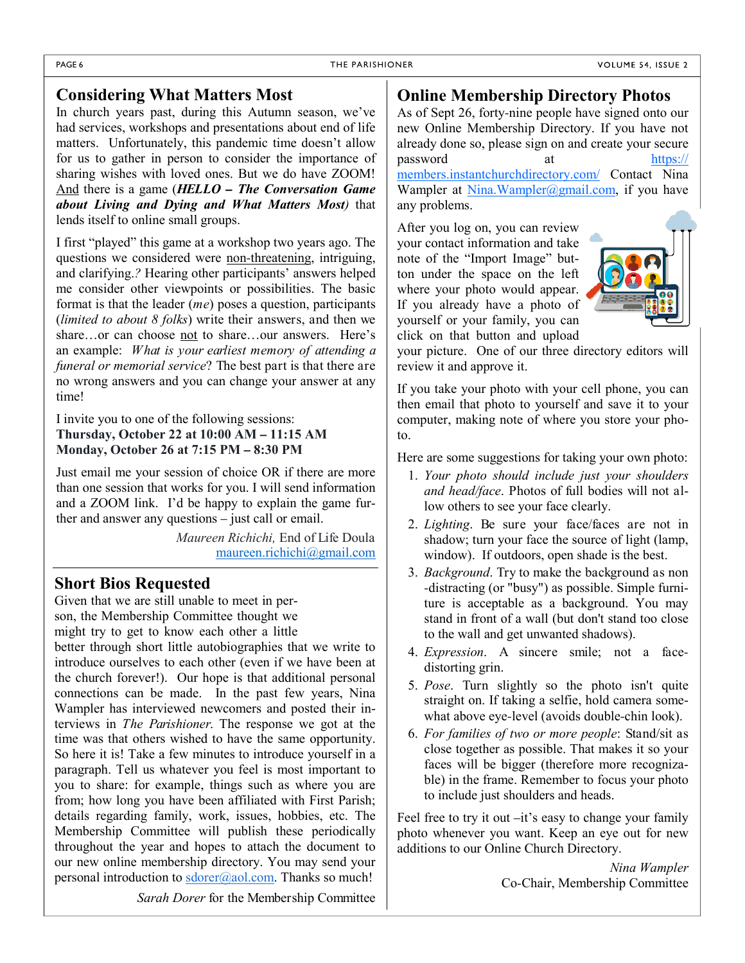## **Considering What Matters Most**

In church years past, during this Autumn season, we've had services, workshops and presentations about end of life matters. Unfortunately, this pandemic time doesn't allow for us to gather in person to consider the importance of sharing wishes with loved ones. But we do have ZOOM! And there is a game (*HELLO – The Conversation Game about Living and Dying and What Matters Most)* that lends itself to online small groups.

I first "played" this game at a workshop two years ago. The questions we considered were non-threatening, intriguing, and clarifying.*?* Hearing other participants' answers helped me consider other viewpoints or possibilities. The basic format is that the leader (*me*) poses a question, participants (*limited to about 8 folks*) write their answers, and then we share...or can choose not to share...our answers. Here's an example: *What is your earliest memory of attending a funeral or memorial service*? The best part is that there are no wrong answers and you can change your answer at any time!

I invite you to one of the following sessions: **Thursday, October 22 at 10:00 AM – 11:15 AM Monday, October 26 at 7:15 PM – 8:30 PM**

Just email me your session of choice OR if there are more than one session that works for you. I will send information and a ZOOM link. I'd be happy to explain the game further and answer any questions – just call or email.

> *Maureen Richichi,* End of Life Doula maureen.richichi@gmail.com

## **Short Bios Requested**

Given that we are still unable to meet in person, the Membership Committee thought we might try to get to know each other a little better through short little autobiographies that we write to introduce ourselves to each other (even if we have been at the church forever!). Our hope is that additional personal connections can be made. In the past few years, Nina Wampler has interviewed newcomers and posted their interviews in *The Parishioner*. The response we got at the time was that others wished to have the same opportunity. So here it is! Take a few minutes to introduce yourself in a paragraph. Tell us whatever you feel is most important to you to share: for example, things such as where you are from; how long you have been affiliated with First Parish; details regarding family, work, issues, hobbies, etc. The Membership Committee will publish these periodically throughout the year and hopes to attach the document to our new online membership directory. You may send your personal introduction to  $s\text{dorer}(\partial a)$  com. Thanks so much!

**Online Membership Directory Photos**

As of Sept 26, forty-nine people have signed onto our new Online Membership Directory. If you have not already done so, please sign on and create your secure password at https:// members.instantchurchdirectory.com/ Contact Nina Wampler at Nina.Wampler@gmail.com, if you have

any problems.

After you log on, you can review your contact information and take note of the "Import Image" button under the space on the left where your photo would appear. If you already have a photo of yourself or your family, you can click on that button and upload



your picture. One of our three directory editors will review it and approve it.

If you take your photo with your cell phone, you can then email that photo to yourself and save it to your computer, making note of where you store your photo.

Here are some suggestions for taking your own photo:

- 1. *Your photo should include just your shoulders and head/face*. Photos of full bodies will not allow others to see your face clearly.
- 2. *Lighting*. Be sure your face/faces are not in shadow; turn your face the source of light (lamp, window). If outdoors, open shade is the best.
- 3. *Background*. Try to make the background as non -distracting (or "busy") as possible. Simple furniture is acceptable as a background. You may stand in front of a wall (but don't stand too close to the wall and get unwanted shadows).
- 4. *Expression*. A sincere smile; not a facedistorting grin.
- 5. *Pose*. Turn slightly so the photo isn't quite straight on. If taking a selfie, hold camera somewhat above eye-level (avoids double-chin look).
- 6. *For families of two or more people*: Stand/sit as close together as possible. That makes it so your faces will be bigger (therefore more recognizable) in the frame. Remember to focus your photo to include just shoulders and heads.

Feel free to try it out –it's easy to change your family photo whenever you want. Keep an eye out for new additions to our Online Church Directory.

> *Nina Wampler* Co-Chair, Membership Committee

*Sarah Dorer* for the Membership Committee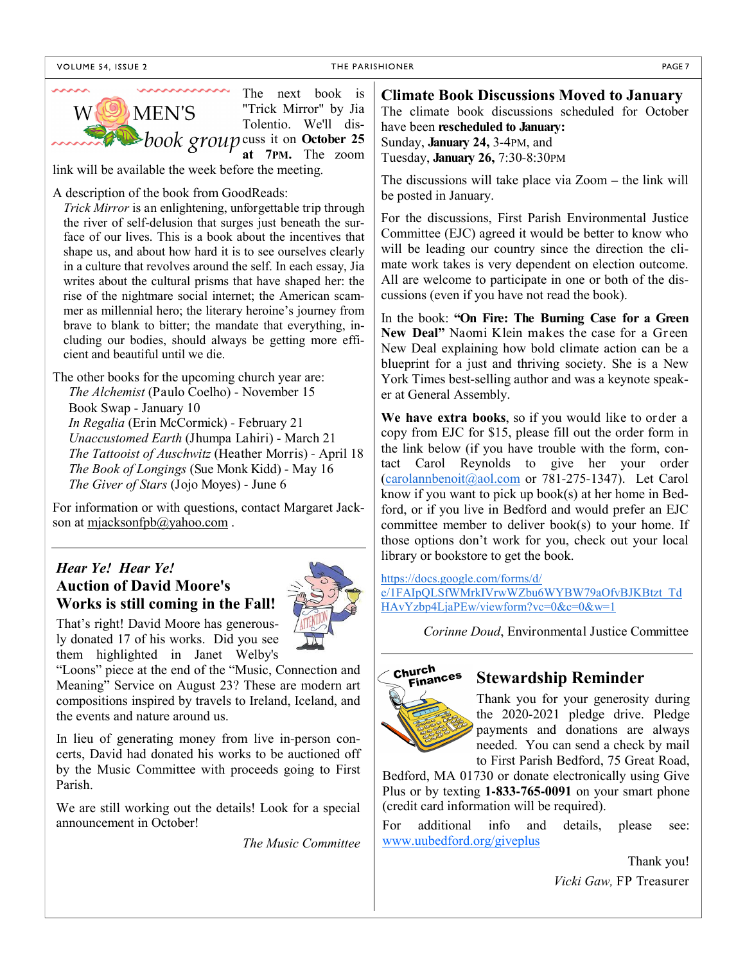



For information or with questions, contact Margaret Jackson at mjacksonfpb@yahoo.com.

## *Hear Ye! Hear Ye!*  **Auction of David Moore's Works is still coming in the Fall!**



That's right! David Moore has generously donated 17 of his works. Did you see them highlighted in Janet Welby's

"Loons" piece at the end of the "Music, Connection and Meaning" Service on August 23? These are modern art compositions inspired by travels to Ireland, Iceland, and the events and nature around us.

In lieu of generating money from live in-person concerts, David had donated his works to be auctioned off by the Music Committee with proceeds going to First Parish.

We are still working out the details! Look for a special announcement in October!

*The Music Committee*

urch<br>Finances **Stewardship Reminder**

*Corinne Doud*, Environmental Justice Committee

know if you want to pick up book(s) at her home in Bedford, or if you live in Bedford and would prefer an EJC committee member to deliver book(s) to your home. If those options don't work for you, check out your local

e/1FAIpQLSfWMrkIVrwWZbu6WYBW79aOfvBJKBtzt\_Td

library or bookstore to get the book.

HAvYzbp4LjaPEw/viewform?vc=0&c=0&w=1

https://docs.google.com/forms/d/

Church

Thank you for your generosity during the 2020-2021 pledge drive. Pledge payments and donations are always needed. You can send a check by mail to First Parish Bedford, 75 Great Road,

Bedford, MA 01730 or donate electronically using Give Plus or by texting **1-833-765-0091** on your smart phone (credit card information will be required).

For additional info and details, please see: www.uubedford.org/giveplus

Thank you!

*Vicki Gaw,* FP Treasurer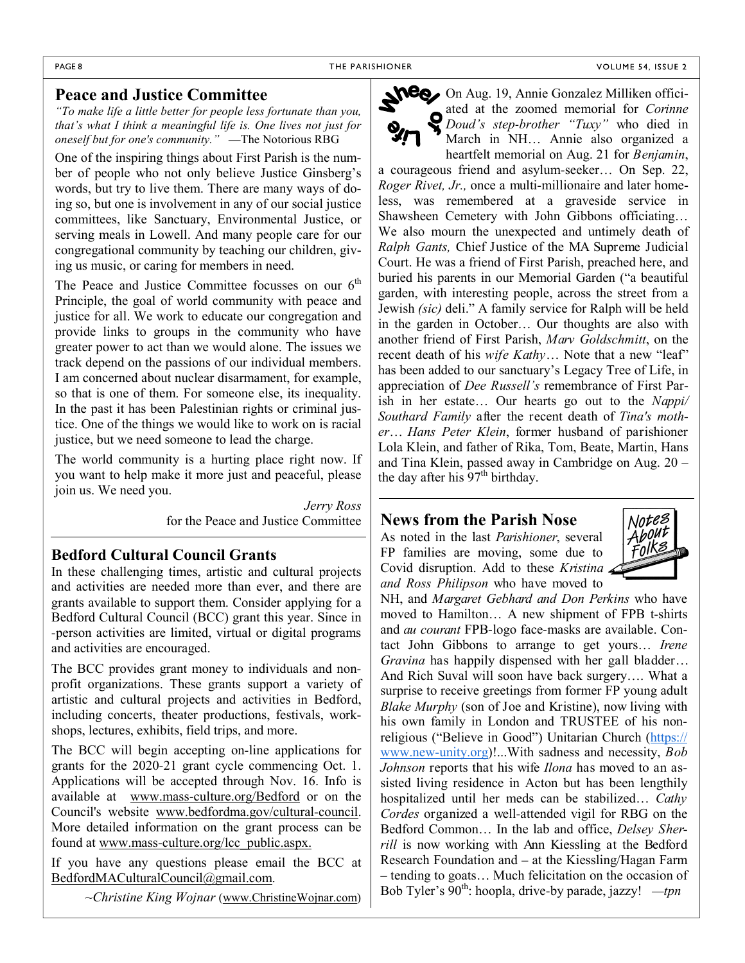#### **Peace and Justice Committee**

*"To make life a little better for people less fortunate than you, that's what I think a meaningful life is. One lives not just for oneself but for one's community."* —The Notorious RBG

One of the inspiring things about First Parish is the number of people who not only believe Justice Ginsberg's words, but try to live them. There are many ways of doing so, but one is involvement in any of our social justice committees, like Sanctuary, Environmental Justice, or serving meals in Lowell. And many people care for our congregational community by teaching our children, giving us music, or caring for members in need.

The Peace and Justice Committee focusses on our 6<sup>th</sup> Principle, the goal of world community with peace and justice for all. We work to educate our congregation and provide links to groups in the community who have greater power to act than we would alone. The issues we track depend on the passions of our individual members. I am concerned about nuclear disarmament, for example, so that is one of them. For someone else, its inequality. In the past it has been Palestinian rights or criminal justice. One of the things we would like to work on is racial justice, but we need someone to lead the charge.

The world community is a hurting place right now. If you want to help make it more just and peaceful, please join us. We need you.

> *Jerry Ross*  for the Peace and Justice Committee

#### **Bedford Cultural Council Grants**

In these challenging times, artistic and cultural projects and activities are needed more than ever, and there are grants available to support them. Consider applying for a Bedford Cultural Council (BCC) grant this year. Since in -person activities are limited, virtual or digital programs and activities are encouraged.

The BCC provides grant money to individuals and nonprofit organizations. These grants support a variety of artistic and cultural projects and activities in Bedford, including concerts, theater productions, festivals, workshops, lectures, exhibits, field trips, and more.

The BCC will begin accepting on-line applications for grants for the 2020-21 grant cycle commencing Oct. 1. Applications will be accepted through Nov. 16. Info is available at www.mass-culture.org/Bedford or on the Council's website www.bedfordma.gov/cultural-council. More detailed information on the grant process can be found at www.mass-culture.org/lcc\_public.aspx.

If you have any questions please email the BCC at BedfordMACulturalCouncil@gmail.com.

*~Christine King Wojnar* (www.ChristineWojnar.com)

On Aug. 19, Annie Gonzalez Milliken officiated at the zoomed memorial for *Corinne Doud's step-brother "Tuxy"* who died in March in NH… Annie also organized a heartfelt memorial on Aug. 21 for *Benjamin*,

a courageous friend and asylum-seeker… On Sep. 22, *Roger Rivet, Jr.,* once a multi-millionaire and later homeless, was remembered at a graveside service in Shawsheen Cemetery with John Gibbons officiating… We also mourn the unexpected and untimely death of *Ralph Gants,* Chief Justice of the MA Supreme Judicial Court. He was a friend of First Parish, preached here, and buried his parents in our Memorial Garden ("a beautiful garden, with interesting people, across the street from a Jewish *(sic)* deli." A family service for Ralph will be held in the garden in October… Our thoughts are also with another friend of First Parish, *Marv Goldschmitt*, on the recent death of his *wife Kathy*… Note that a new "leaf" has been added to our sanctuary's Legacy Tree of Life, in appreciation of *Dee Russell's* remembrance of First Parish in her estate… Our hearts go out to the *Nappi/ Southard Family* after the recent death of *Tina's mother*… *Hans Peter Klein*, former husband of parishioner Lola Klein, and father of Rika, Tom, Beate, Martin, Hans and Tina Klein, passed away in Cambridge on Aug. 20 – the day after his  $97<sup>th</sup>$  birthday.

## **News from the Parish Nose**

As noted in the last *Parishioner*, several FP families are moving, some due to Covid disruption. Add to these *Kristina and Ross Philipson* who have moved to



NH, and *Margaret Gebhard and Don Perkins* who have moved to Hamilton… A new shipment of FPB t-shirts and *au courant* FPB-logo face-masks are available. Contact John Gibbons to arrange to get yours… *Irene Gravina* has happily dispensed with her gall bladder… And Rich Suval will soon have back surgery…. What a surprise to receive greetings from former FP young adult *Blake Murphy* (son of Joe and Kristine), now living with his own family in London and TRUSTEE of his nonreligious ("Believe in Good") Unitarian Church (https:// www.new-unity.org)!...With sadness and necessity, *Bob Johnson* reports that his wife *Ilona* has moved to an assisted living residence in Acton but has been lengthily hospitalized until her meds can be stabilized… *Cathy Cordes* organized a well-attended vigil for RBG on the Bedford Common… In the lab and office, *Delsey Sherrill* is now working with Ann Kiessling at the Bedford Research Foundation and – at the Kiessling/Hagan Farm – tending to goats… Much felicitation on the occasion of Bob Tyler's 90<sup>th</sup>: hoopla, drive-by parade, jazzy! —*tpn*